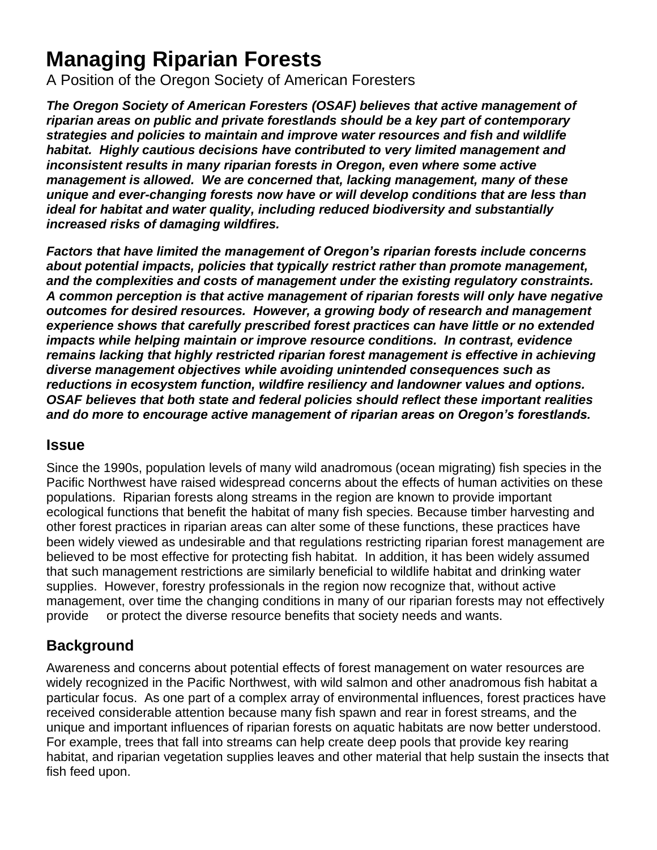## **Managing Riparian Forests**

A Position of the Oregon Society of American Foresters

*The Oregon Society of American Foresters (OSAF) believes that active management of riparian areas on public and private forestlands should be a key part of contemporary strategies and policies to maintain and improve water resources and fish and wildlife habitat. Highly cautious decisions have contributed to very limited management and inconsistent results in many riparian forests in Oregon, even where some active management is allowed. We are concerned that, lacking management, many of these unique and ever-changing forests now have or will develop conditions that are less than ideal for habitat and water quality, including reduced biodiversity and substantially increased risks of damaging wildfires.*

*Factors that have limited the management of Oregon's riparian forests include concerns about potential impacts, policies that typically restrict rather than promote management, and the complexities and costs of management under the existing regulatory constraints. A common perception is that active management of riparian forests will only have negative outcomes for desired resources. However, a growing body of research and management experience shows that carefully prescribed forest practices can have little or no extended impacts while helping maintain or improve resource conditions. In contrast, evidence remains lacking that highly restricted riparian forest management is effective in achieving diverse management objectives while avoiding unintended consequences such as reductions in ecosystem function, wildfire resiliency and landowner values and options. OSAF believes that both state and federal policies should reflect these important realities and do more to encourage active management of riparian areas on Oregon's forestlands.*

## **Issue**

Since the 1990s, population levels of many wild anadromous (ocean migrating) fish species in the Pacific Northwest have raised widespread concerns about the effects of human activities on these populations. Riparian forests along streams in the region are known to provide important ecological functions that benefit the habitat of many fish species. Because timber harvesting and other forest practices in riparian areas can alter some of these functions, these practices have been widely viewed as undesirable and that regulations restricting riparian forest management are believed to be most effective for protecting fish habitat. In addition, it has been widely assumed that such management restrictions are similarly beneficial to wildlife habitat and drinking water supplies. However, forestry professionals in the region now recognize that, without active management, over time the changing conditions in many of our riparian forests may not effectively provide or protect the diverse resource benefits that society needs and wants.

## **Background**

Awareness and concerns about potential effects of forest management on water resources are widely recognized in the Pacific Northwest, with wild salmon and other anadromous fish habitat a particular focus. As one part of a complex array of environmental influences, forest practices have received considerable attention because many fish spawn and rear in forest streams, and the unique and important influences of riparian forests on aquatic habitats are now better understood. For example, trees that fall into streams can help create deep pools that provide key rearing habitat, and riparian vegetation supplies leaves and other material that help sustain the insects that fish feed upon.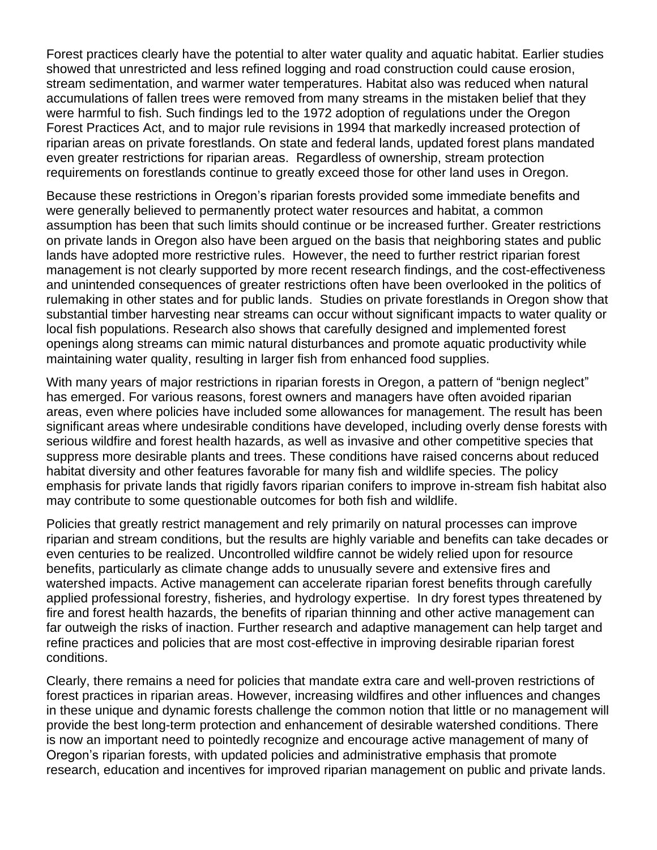Forest practices clearly have the potential to alter water quality and aquatic habitat. Earlier studies showed that unrestricted and less refined logging and road construction could cause erosion, stream sedimentation, and warmer water temperatures. Habitat also was reduced when natural accumulations of fallen trees were removed from many streams in the mistaken belief that they were harmful to fish. Such findings led to the 1972 adoption of regulations under the Oregon Forest Practices Act, and to major rule revisions in 1994 that markedly increased protection of riparian areas on private forestlands. On state and federal lands, updated forest plans mandated even greater restrictions for riparian areas. Regardless of ownership, stream protection requirements on forestlands continue to greatly exceed those for other land uses in Oregon.

Because these restrictions in Oregon's riparian forests provided some immediate benefits and were generally believed to permanently protect water resources and habitat, a common assumption has been that such limits should continue or be increased further. Greater restrictions on private lands in Oregon also have been argued on the basis that neighboring states and public lands have adopted more restrictive rules. However, the need to further restrict riparian forest management is not clearly supported by more recent research findings, and the cost-effectiveness and unintended consequences of greater restrictions often have been overlooked in the politics of rulemaking in other states and for public lands. Studies on private forestlands in Oregon show that substantial timber harvesting near streams can occur without significant impacts to water quality or local fish populations. Research also shows that carefully designed and implemented forest openings along streams can mimic natural disturbances and promote aquatic productivity while maintaining water quality, resulting in larger fish from enhanced food supplies.

With many years of major restrictions in riparian forests in Oregon, a pattern of "benign neglect" has emerged. For various reasons, forest owners and managers have often avoided riparian areas, even where policies have included some allowances for management. The result has been significant areas where undesirable conditions have developed, including overly dense forests with serious wildfire and forest health hazards, as well as invasive and other competitive species that suppress more desirable plants and trees. These conditions have raised concerns about reduced habitat diversity and other features favorable for many fish and wildlife species. The policy emphasis for private lands that rigidly favors riparian conifers to improve in-stream fish habitat also may contribute to some questionable outcomes for both fish and wildlife.

Policies that greatly restrict management and rely primarily on natural processes can improve riparian and stream conditions, but the results are highly variable and benefits can take decades or even centuries to be realized. Uncontrolled wildfire cannot be widely relied upon for resource benefits, particularly as climate change adds to unusually severe and extensive fires and watershed impacts. Active management can accelerate riparian forest benefits through carefully applied professional forestry, fisheries, and hydrology expertise. In dry forest types threatened by fire and forest health hazards, the benefits of riparian thinning and other active management can far outweigh the risks of inaction. Further research and adaptive management can help target and refine practices and policies that are most cost-effective in improving desirable riparian forest conditions.

Clearly, there remains a need for policies that mandate extra care and well-proven restrictions of forest practices in riparian areas. However, increasing wildfires and other influences and changes in these unique and dynamic forests challenge the common notion that little or no management will provide the best long-term protection and enhancement of desirable watershed conditions. There is now an important need to pointedly recognize and encourage active management of many of Oregon's riparian forests, with updated policies and administrative emphasis that promote research, education and incentives for improved riparian management on public and private lands.